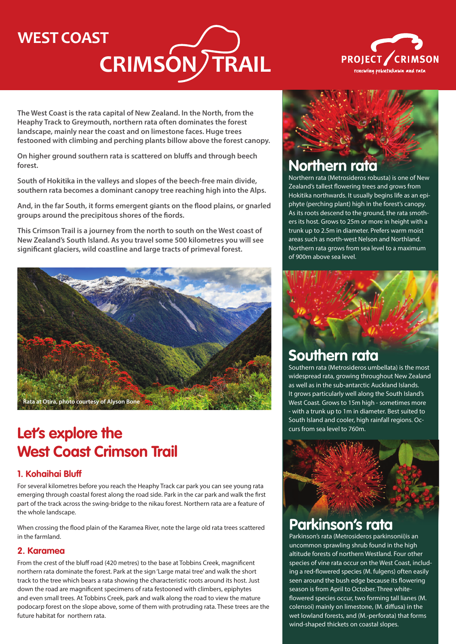## **WEST COAST**

# CRIMSON) TRAIL



**The West Coast is the rata capital of New Zealand. In the North, from the Heaphy Track to Greymouth, northern rata often dominates the forest landscape, mainly near the coast and on limestone faces. Huge trees festooned with climbing and perching plants billow above the forest canopy.** 

**On higher ground southern rata is scattered on bluffs and through beech forest.**

**South of Hokitika in the valleys and slopes of the beech-free main divide, southern rata becomes a dominant canopy tree reaching high into the Alps.** 

**And, in the far South, it forms emergent giants on the flood plains, or gnarled groups around the precipitous shores of the fiords.** 

**This Crimson Trail is a journey from the north to south on the West coast of New Zealand's South Island. As you travel some 500 kilometres you will see significant glaciers, wild coastline and large tracts of primeval forest.**



## **Let's explore the West Coast Crimson Trail**

#### **1. Kohaihai Bluff**

For several kilometres before you reach the Heaphy Track car park you can see young rata emerging through coastal forest along the road side. Park in the car park and walk the first part of the track across the swing-bridge to the nikau forest. Northern rata are a feature of the whole landscape.

When crossing the flood plain of the Karamea River, note the large old rata trees scattered in the farmland.

#### **2. Karamea**

From the crest of the bluff road (420 metres) to the base at Tobbins Creek, magnificent northern rata dominate the forest. Park at the sign 'Large matai tree' and walk the short track to the tree which bears a rata showing the characteristic roots around its host. Just down the road are magnificent specimens of rata festooned with climbers, epiphytes and even small trees. At Tobbins Creek, park and walk along the road to view the mature podocarp forest on the slope above, some of them with protruding rata. These trees are the future habitat for northern rata.



## **Northern rata**

Northern rata (Metrosideros robusta) is one of New Zealand's tallest flowering trees and grows from Hokitika northwards. It usually begins life as an epiphyte (perching plant) high in the forest's canopy. As its roots descend to the ground, the rata smothers its host. Grows to 25m or more in height with a trunk up to 2.5m in diameter. Prefers warm moist areas such as north-west Nelson and Northland. Northern rata grows from sea level to a maximum of 900m above sea level.



## **Southern rata**

Southern rata (Metrosideros umbellata) is the most widespread rata, growing throughout New Zealand as well as in the sub-antarctic Auckland Islands. It grows particularly well along the South Island's West Coast. Grows to 15m high - sometimes more - with a trunk up to 1m in diameter. Best suited to South Island and cooler, high rainfall regions. Occurs from sea level to 760m.



## **Parkinson's rata**

Parkinson's rata (Metrosideros parkinsonii)is an uncommon sprawling shrub found in the high altitude forests of northern Westland. Four other species of vine rata occur on the West Coast, including a red-flowered species (M. fulgens) often easily seen around the bush edge because its flowering season is from April to October. Three whiteflowered species occur, two forming tall lianes (M. colensoi) mainly on limestone, (M. diffusa) in the wet lowland forests, and (M.-perforata) that forms wind-shaped thickets on coastal slopes.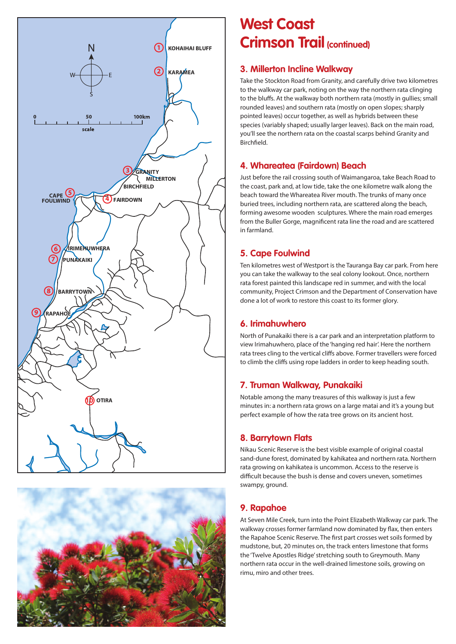



## **West Coast Crimson Trail (continued)**

#### **3. Millerton Incline Walkway**

Take the Stockton Road from Granity, and carefully drive two kilometres to the walkway car park, noting on the way the northern rata clinging to the bluffs. At the walkway both northern rata (mostly in gullies; small rounded leaves) and southern rata (mostly on open slopes; sharply pointed leaves) occur together, as well as hybrids between these species (variably shaped; usually larger leaves). Back on the main road, you'll see the northern rata on the coastal scarps behind Granity and Birchfield.

#### **4. Whareatea (Fairdown) Beach**

Just before the rail crossing south of Waimangaroa, take Beach Road to the coast, park and, at low tide, take the one kilometre walk along the beach toward the Whareatea River mouth. The trunks of many once buried trees, including northern rata, are scattered along the beach, forming awesome wooden sculptures. Where the main road emerges from the Buller Gorge, magnificent rata line the road and are scattered in farmland.

#### **5. Cape Foulwind**

Ten kilometres west of Westport is the Tauranga Bay car park. From here you can take the walkway to the seal colony lookout. Once, northern rata forest painted this landscape red in summer, and with the local community, Project Crimson and the Department of Conservation have done a lot of work to restore this coast to its former glory.

#### **6. Irimahuwhero**

North of Punakaiki there is a car park and an interpretation platform to view Irimahuwhero, place of the 'hanging red hair'. Here the northern rata trees cling to the vertical cliffs above. Former travellers were forced to climb the cliffs using rope ladders in order to keep heading south.

#### **7. Truman Walkway, Punakaiki**

Notable among the many treasures of this walkway is just a few minutes in: a northern rata grows on a large matai and it's a young but perfect example of how the rata tree grows on its ancient host.

#### **8. Barrytown Flats**

Nikau Scenic Reserve is the best visible example of original coastal sand-dune forest, dominated by kahikatea and northern rata. Northern rata growing on kahikatea is uncommon. Access to the reserve is difficult because the bush is dense and covers uneven, sometimes swampy, ground.

#### **9. Rapahoe**

At Seven Mile Creek, turn into the Point Elizabeth Walkway car park. The walkway crosses former farmland now dominated by flax, then enters the Rapahoe Scenic Reserve. The first part crosses wet soils formed by mudstone, but, 20 minutes on, the track enters limestone that forms the 'Twelve Apostles Ridge' stretching south to Greymouth. Many northern rata occur in the well-drained limestone soils, growing on rimu, miro and other trees.